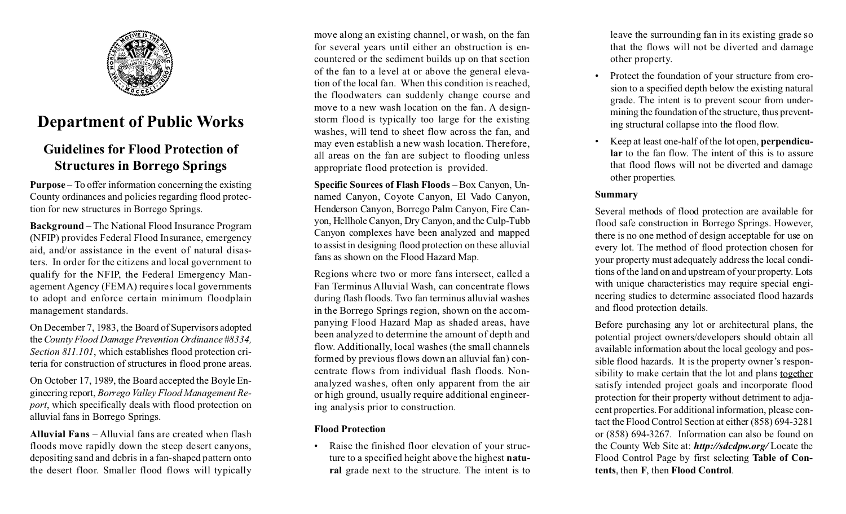

## **Department of Public Works**

### **Guidelines for Flood Protection of Structures in Borrego Springs**

**Purpose** – To offer information concerning the existing County ordinances and policies regarding flood protection for new structures in Borrego Springs.

**Background** – The National Flood Insurance Program (NFIP) provides Federal Flood Insurance, emergency aid, and/or assistance in the event of natural disasters. In order for the citizens and local government to qualify for the NFIP, the Federal Emergency Management Agency (FEMA) requires local governments to adopt and enforce certain minimum floodplain management standards.

On December 7, 1983, the Board of Supervisors adopted the *County Flood Damage Prevention Ordinance #8334, Section 811.101*, which establishes flood protection criteria for construction of structures in flood prone areas.

On October 17, 1989, the Board accepted the Boyle Engineering report, *Borrego Valley Flood Management Report*, which specifically deals with flood protection on alluvial fans in Borrego Springs.

**Alluvial Fans** – Alluvial fans are created when flash floods move rapidly down the steep desert canyons, depositing sand and debris in a fan-shaped pattern onto the desert floor. Smaller flood flows will typically

move along an existing channel, or wash, on the fan for several years until either an obstruction is encountered or the sediment builds up on that section of the fan to a level at or above the general elevation of the local fan. When this condition is reached, the floodwaters can suddenly change course and move to a new wash location on the fan. A designstorm flood is typically too large for the existing washes, will tend to sheet flow across the fan, and may even establish a new wash location. Therefore, all areas on the fan are subject to flooding unless appropriate flood protection is provided.

**Specific Sources of Flash Floods** – Box Canyon, Unnamed Canyon, Coyote Canyon, El Vado Canyon, Henderson Canyon, Borrego Palm Canyon, Fire Canyon, Hellhole Canyon, Dry Canyon, and the Culp-Tubb Canyon complexes have been analyzed and mapped to assist in designing flood protection on these alluvial fans as shown on the Flood Hazard Map.

Regions where two or more fans intersect, called a Fan Terminus Alluvial Wash, can concentrate flows during flash floods. Two fan terminus alluvial washes in the Borrego Springs region, shown on the accompanying Flood Hazard Map as shaded areas, have been analyzed to determine the amount of depth and flow. Additionally, local washes (the small channels formed by previous flows down an alluvial fan) concentrate flows from individual flash floods. Nonanalyzed washes, often only apparent from the air or high ground, usually require additional engineering analysis prior to construction.

#### **Flood Protection**

• Raise the finished floor elevation of your structure to a specified height above the highest **natural** grade next to the structure. The intent is to leave the surrounding fan in its existing grade so that the flows will not be diverted and damage other property.

- Protect the foundation of your structure from erosion to a specified depth below the existing natural grade. The intent is to prevent scour from undermining the foundation of the structure, thus preventing structural collapse into the flood flow.
- Keep at least one-half of the lot open, **perpendicular** to the fan flow. The intent of this is to assure that flood flows will not be diverted and damage other properties.

#### **Summary**

Several methods of flood protection are available for flood safe construction in Borrego Springs. However, there is no one method of design acceptable for use on every lot. The method of flood protection chosen for your property must adequately address the local conditions of the land on and upstream of your property. Lots with unique characteristics may require special engineering studies to determine associated flood hazards and flood protection details.

Before purchasing any lot or architectural plans, the potential project owners/developers should obtain all available information about the local geology and possible flood hazards. It is the property owner's responsibility to make certain that the lot and plans together satisfy intended project goals and incorporate flood protection for their property without detriment to adjacent properties. For additional information, please contact the Flood Control Section at either (858) 694-3281 or (858) 694-3267. Information can also be found on the County Web Site at: *http://sdcdpw.org/* Locate the Flood Control Page by first selecting **Table of Contents**, then **F**, then **Flood Control**.